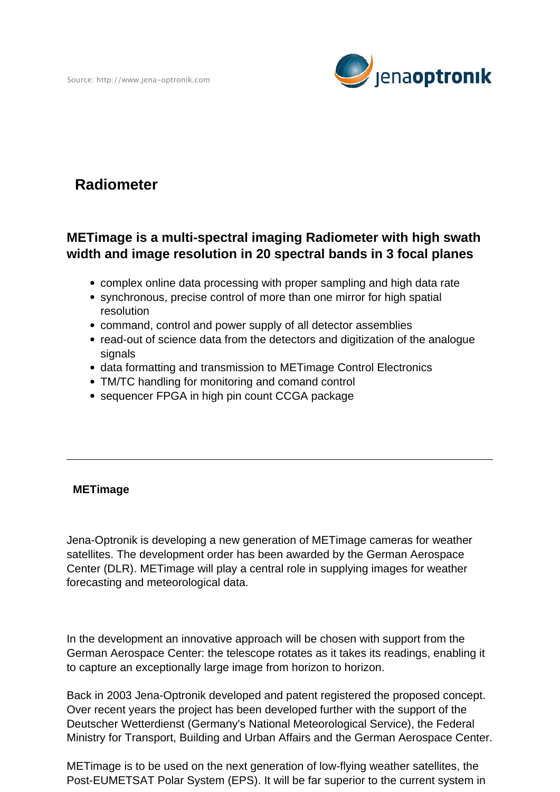

## **Radiometer**

## **METimage is a multi-spectral imaging Radiometer with high swath width and image resolution in 20 spectral bands in 3 focal planes**

- complex online data processing with proper sampling and high data rate
- synchronous, precise control of more than one mirror for high spatial resolution
- command, control and power supply of all detector assemblies
- read-out of science data from the detectors and digitization of the analogue signals
- data formatting and transmission to METimage Control Electronics
- TM/TC handling for monitoring and comand control
- sequencer FPGA in high pin count CCGA package

## **METimage**

Jena-Optronik is developing a new generation of METimage cameras for weather satellites. The development order has been awarded by the German Aerospace Center (DLR). METimage will play a central role in supplying images for weather forecasting and meteorological data.

In the development an innovative approach will be chosen with support from the German Aerospace Center: the telescope rotates as it takes its readings, enabling it to capture an exceptionally large image from horizon to horizon.

Back in 2003 Jena-Optronik developed and patent registered the proposed concept. Over recent years the project has been developed further with the support of the Deutscher Wetterdienst (Germany's National Meteorological Service), the Federal Ministry for Transport, Building and Urban Affairs and the German Aerospace Center.

METimage is to be used on the next generation of low-flying weather satellites, the Post-EUMETSAT Polar System (EPS). It will be far superior to the current system in